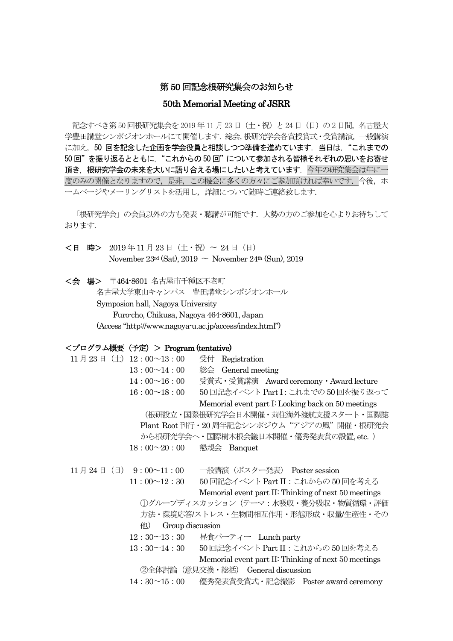## 第 50 回記念根研究集会のお知らせ

## 50th Memorial Meeting of JSRR

記念すべき第50回根研究集会を2019年11月23日 (土・祝) と24日 (日) の2日間, 名古屋大 学豊田講堂シンポジオンホールにて開催します.総会,根研究学会各賞授賞式・受賞講演,一般講演 に加え、50 回を記念した企画を学会役員と相談しつつ準備を進めています. 当日は、"これまでの 50回"を振り返るとともに、"これからの50回"について参加される皆様それぞれの思いをお寄せ 頂き,根研究学会の未来を大いに語り合える場にしたいと考えています. 今年の研究集会は年に一 度のみの開催となりますので、是非、この機会に多くの方々にご参加頂ければ幸いです. 今後、ホ ームページやメーリングリストを活用し,詳細について随時ご連絡致します.

「根研究学会」の会員以外の方も発表・聴講が可能です. 大勢の方のご参加を心よりお待ちして おります.

<日 時> 2019 年11 月23 日(土・祝)〜 24 日(日) November 23rd (Sat), 2019  $\sim$  November 24th (Sun), 2019

<会 場> 〒464-8601 名古屋市千種区不老町 名古屋大学東山キャンパス 豊田講堂シンポジオンホール Symposion hall, Nagoya University Furo-cho, Chikusa, Nagoya 464-8601, Japan (Access "http://www.nagoya-u.ac.jp/access/index.html")

#### <プログラム概要(予定)> Program (tentative)

|                                         |                                   | 11月23日 (土) 12:00~13:00              | 受付 Registration                                      |  |  |  |  |
|-----------------------------------------|-----------------------------------|-------------------------------------|------------------------------------------------------|--|--|--|--|
|                                         |                                   | $13:00 \sim 14:00$                  | 総会 General meeting                                   |  |  |  |  |
|                                         |                                   | $14:00 \sim 16:00$                  | 受賞式·受賞講演 Award ceremony · Award lecture              |  |  |  |  |
|                                         |                                   | 16:00~18:00                         | 50回記念イベント Part I: これまでの 50回を振り返って                    |  |  |  |  |
|                                         |                                   |                                     | Memorial event part I: Looking back on 50 meetings   |  |  |  |  |
|                                         |                                   |                                     | (根研設立・国際根研究学会日本開催・苅住海外渡航支援スタート・国際誌                   |  |  |  |  |
| Plant Root刊行・20周年記念シンポジウム"アジアの風"開催・根研究会 |                                   |                                     |                                                      |  |  |  |  |
|                                         |                                   |                                     | から根研究学会へ・国際樹木根会議日本開催・優秀発表賞の設置,etc.)                  |  |  |  |  |
|                                         |                                   | $18:00 \sim 20:00$                  | 懇親会 Banquet                                          |  |  |  |  |
|                                         |                                   |                                     |                                                      |  |  |  |  |
|                                         |                                   | 11月24日 (日) 9:00~11:00               | 一般講演(ポスター発表) Poster session                          |  |  |  |  |
|                                         |                                   | $11:00 \sim 12:30$                  | 50回記念イベント Part II : これからの 50回を考える                    |  |  |  |  |
|                                         |                                   |                                     | Memorial event part II: Thinking of next 50 meetings |  |  |  |  |
|                                         |                                   |                                     | ①グループディスカッション (テーマ:水吸収・養分吸収・物質循環・評価                  |  |  |  |  |
|                                         |                                   | 方法・環境応答/ストレス・生物間相互作用・形態形成・収量/生産性・その |                                                      |  |  |  |  |
|                                         | 他<br>Group discussion             |                                     |                                                      |  |  |  |  |
|                                         |                                   | $12:30^{\sim}13:30$                 | 昼食パーティー Lunch party                                  |  |  |  |  |
|                                         |                                   | $13:30 \text{--} 14:30$             | 50 回記念イベント Part Ⅱ : これからの 50 回を考える                   |  |  |  |  |
|                                         |                                   |                                     | Memorial event part II: Thinking of next 50 meetings |  |  |  |  |
|                                         | ②全体計論(意見交換・総括) General discussion |                                     |                                                      |  |  |  |  |
|                                         |                                   | $14:30^{\sim}15:00$                 | 優秀発表賞受賞式・記念撮影 Poster award ceremony                  |  |  |  |  |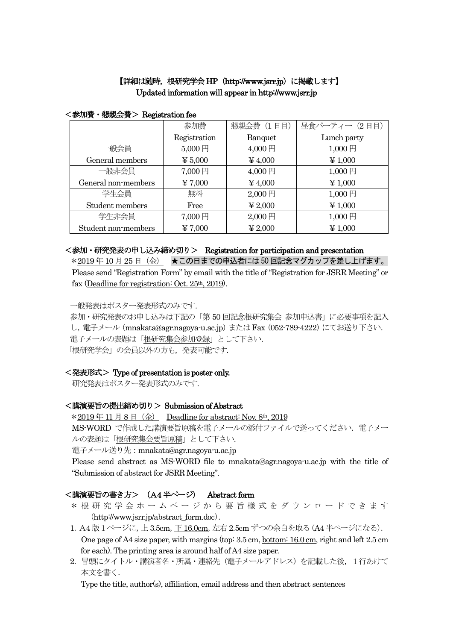# 【詳細は随時, 根研究学会 HP (http://www.jsrr.jp) に掲載します】 Updated information will appear in http://www.jsrr.jp

|                     | 参加費                       | 懇親会費 (1日目)                | 昼食パーティー (2日目) |  |
|---------------------|---------------------------|---------------------------|---------------|--|
|                     | Registration              | Banquet                   | Lunch party   |  |
| ·般会員                | $5,000$ 円                 | $4,000$ 円                 | 1,000円        |  |
| General members     | $\boldsymbol{\Psi}$ 5,000 | $\frac{1}{2}4,000$        | $\yen 1,000$  |  |
| 一般非会員               | 7,000円                    | 4,000円                    | $1,000$ 円     |  |
| General non-members | ¥ 7,000                   | $¥$ 4,000                 | $\yen 1,000$  |  |
| 学生会員                | 無料                        | $2,000$ 円                 | 1,000円        |  |
| Student members     | Free                      | $\boldsymbol{\Psi}$ 2,000 | $\yen 1,000$  |  |
| 学生非会員               | 7,000円                    | $2,000$ 円                 | 1,000円        |  |
| Student non-members | ¥ 7,000                   | $\yen 2,000$              | $\yen 1,000$  |  |

#### <参加費・懇親会費> Registration fee

## <参加・研究発表の申し込み締め切り> Registration for participation and presentation

\*2019年10月25日 (金) ★この日までの申込者には50回記念マグカップを差し上げます。 Please send "Registration Form" by email with the title of "Registration for JSRR Meeting" or fax (Deadline for registration: Oct.  $25<sup>th</sup>$ ,  $2019$ ).

一般発表はポスター発表形式のみです.

参加・研究発表のお申し込みは下記の「第 50 回記念根研究集会 参加申込書」に必要事項を記入 し, 電子メール (mnakata@agr.nagoya-u.ac.jp) または Fax (052-789-4222) にてお送り下さい. 電子メールの表題は「根研究集会参加登録」として下さい. 「根研究学会」の会員以外の方も、発表可能です.

## <発表形式> Type of presentation is poster only.

研究発表はポスター発表形式のみです.

#### <講演要旨の提出締め切り> Submission of Abstract

 $*2019 \n\equiv 11 \n\equiv 8 \n\equiv (\n\Leftarrow)$  Deadline for abstract: Nov. 8th, 2019 MS-WORD で作成した講演要旨原稿を電子メールの添付ファイルで送ってください. 電子メー ルの表題は「根研究集会要旨原稿」として下さい.

電子メール送り先:mnakata@agr.nagoya-u.ac.jp

Please send abstract as MS-WORD file to mnakata@agr.nagoya-u.ac.jp with the title of "Submission of abstract for JSRR Meeting".

## <講演要旨の書き方> (A4 半ページ) Abstract form

- \*根研究学会ホームページから要旨様式をダウンロードできます (http://www.jsrr.jp/abstract\_form.doc).
- 1.A4 版1ページに,上3.5cm,下16.0cm,左右2.5cm ずつの余白を取る(A4半ページになる). One page of A4 size paper, with margins (top: 3.5 cm, bottom: 16.0 cm, right and left 2.5 cm for each). The printing area is around half of A4 size paper.
- 2. 冒頭にタイトル・講演者名・所属・連絡先(電子メールアドレス)を記載した後, 1行あけて 本文を書く.

Type the title, author(s), affiliation, email address and then abstract sentences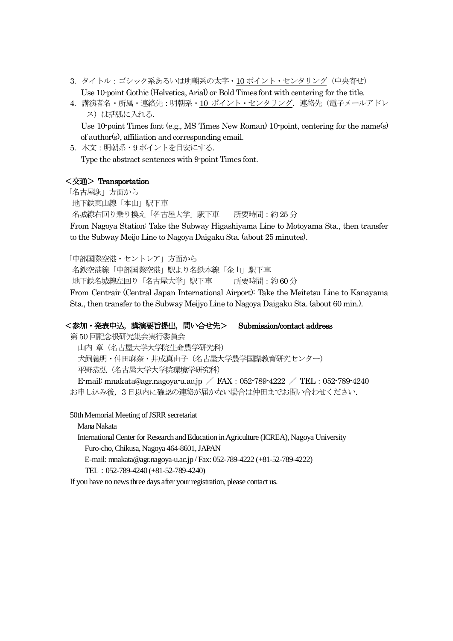- 3. タイトル:ゴシック系あるいは明朝系の太字・10 ポイント・センタリング (中央寄せ) Use 10-point Gothic (Helvetica, Arial) or Bold Times font with centering for the title.
- 4.講演者名・所属・連絡先:明朝系・10 ポイント・センタリング.連絡先(電子メールアドレ ス)は括弧に入れる.

Use 10-point Times font (e.g., MS Times New Roman) 10-point, centering for the name(s) of author(s), affiliation and corresponding email.

5. 本文: 明朝系· 9ポイントを目安にする. Type the abstract sentences with 9-point Times font.

#### <交通> Transportation

「名古屋駅」方面から 地下鉄東山線「本山」駅下車 名城線右回り乗り換え「名古屋大学」駅下車 所要時間:約25分 From Nagoya Station: Take the Subway Higashiyama Line to Motoyama Sta., then transfer to the Subway Meijo Line to Nagoya Daigaku Sta. (about 25 minutes).

「中部国際空港・セントレア」方面から 名鉄空港線「中部国際空港」駅より名鉄本線「金山」駅下車 地下鉄名城線左回り「名古屋大学」駅下車 所要時間:約60 分 From Centrair (Central Japan International Airport): Take the Meitetsu Line to Kanayama Sta., then transfer to the Subway Meijyo Line to Nagoya Daigaku Sta. (about 60 min.).

## <参加・発表申込,講演要旨提出,問い合せ先> Submission/contact address

第50 回記念根研究集会実行委員会

山内 章(名古屋大学大学院生命農学研究科)

犬飼義明・仲田麻奈・井成真由子(名古屋大学農学国際教育研究センター) 平野恭弘(名古屋大学大学院環境学研究科)

E-mail: mnakata@agr.nagoya-u.ac.jp / FAX:052-789-4222 / TEL:052-789-4240 お申し込み後,3 日以内に確認の連絡が届かない場合は仲田までお問い合わせください.

50th Memorial Meeting of JSRR secretariat

Mana Nakata

International Center for Research and Education in Agriculture (ICREA), Nagoya University Furo-cho, Chikusa, Nagoya 464-8601, JAPAN

E-mail: mnakata@agr.nagoya-u.ac.jp / Fax: 052-789-4222 (+81-52-789-4222)

TEL:052-789-4240 (+81-52-789-4240)

If you have no news three days after your registration, please contact us.